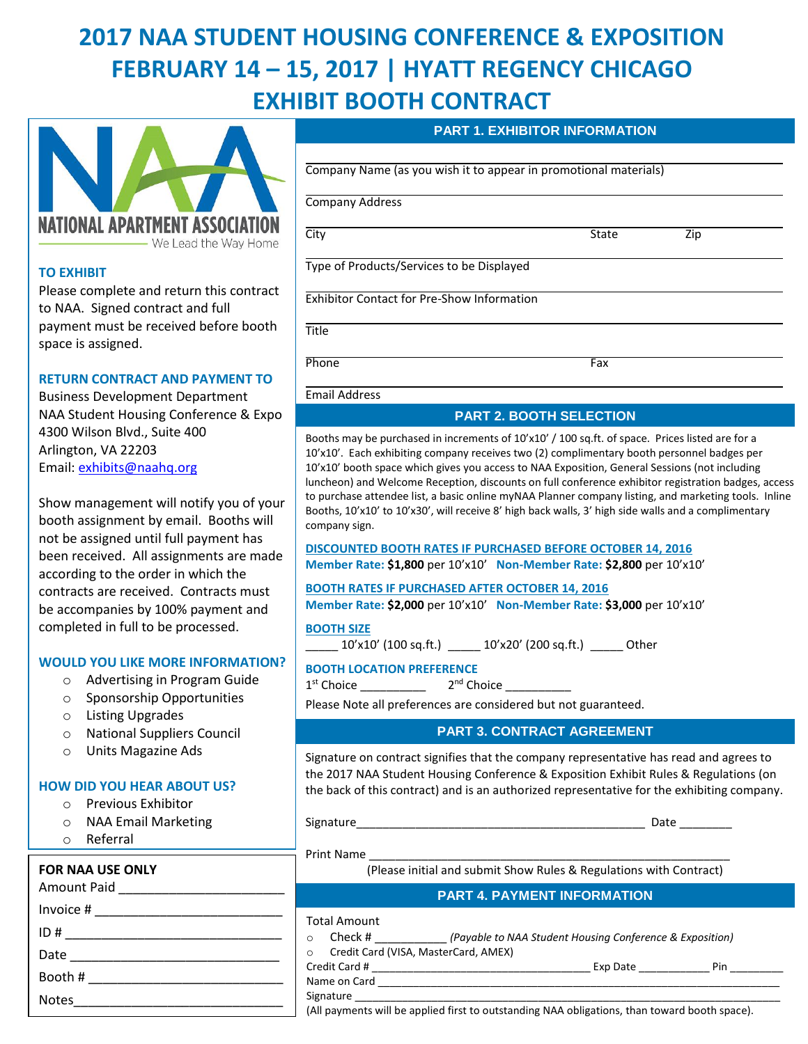# **2017 NAA STUDENT HOUSING CONFERENCE & EXPOSITION FEBRUARY 14 – 15, 2017 | HYATT REGENCY CHICAGO EXHIBIT BOOTH CONTRACT**



## **TO EXHIBIT**

Please complete and return this contract to NAA. Signed contract and full payment must be received before booth space is assigned.

## **RETURN CONTRACT AND PAYMENT TO**

Business Development Department NAA Student Housing Conference & Expo 4300 Wilson Blvd., Suite 400 Arlington, VA 22203 Email: [exhibits@naahq.org](mailto:exhibits@naahq.org)

Show management will notify you of your booth assignment by email. Booths will not be assigned until full payment has been received. All assignments are made according to the order in which the contracts are received. Contracts must be accompanies by 100% payment and completed in full to be processed.

## **WOULD YOU LIKE MORE INFORMATION?**

- o Advertising in Program Guide
- o Sponsorship Opportunities
- o Listing Upgrades
- o National Suppliers Council
- o Units Magazine Ads

## **HOW DID YOU HEAR ABOUT US?**

- o Previous Exhibitor
- o NAA Email Marketing
- o Referral

#### o Other Library and Denver Library and Denver Library and Denver Library and Denver Library and Denver Library **FOR NAA USE ONLY**

## Amount Paid \_\_\_\_\_\_\_\_\_\_\_\_\_\_\_\_\_\_\_\_\_\_\_ Invoice # \_\_\_\_\_\_\_\_\_\_\_\_\_\_\_\_\_\_\_\_\_\_\_\_\_\_ ID # \_\_\_\_\_\_\_\_\_\_\_\_\_\_\_\_\_\_\_\_\_\_\_\_\_\_\_\_\_\_ Date \_\_\_\_\_\_\_\_\_\_\_\_\_\_\_\_\_\_\_\_\_\_\_\_\_\_\_\_\_ Booth # \_\_\_\_\_\_\_\_\_\_\_\_\_\_\_\_\_\_\_\_\_\_\_\_\_\_\_ Notes

#### **PART 1. EXHIBITOR INFORMATION**

Company Name (as you wish it to appear in promotional materials)

Company Address

| л. | ้     | - |
|----|-------|---|
| -- | ----- |   |

Type of Products/Services to be Displayed

Exhibitor Contact for Pre-Show Information

**Title** 

Phone **Fax** 

Email Address

## **PART 2. BOOTH SELECTION**

Booths may be purchased in increments of 10'x10' / 100 sq.ft. of space. Prices listed are for a 10'x10'. Each exhibiting company receives two (2) complimentary booth personnel badges per 10'x10' booth space which gives you access to NAA Exposition, General Sessions (not including luncheon) and Welcome Reception, discounts on full conference exhibitor registration badges, access to purchase attendee list, a basic online myNAA Planner company listing, and marketing tools. Inline Booths, 10'x10' to 10'x30', will receive 8' high back walls, 3' high side walls and a complimentary company sign.

**DISCOUNTED BOOTH RATES IF PURCHASED BEFORE OCTOBER 14, 2016 Member Rate: \$1,800** per 10'x10' **Non-Member Rate: \$2,800** per 10'x10'

#### **BOOTH RATES IF PURCHASED AFTER OCTOBER 14, 2016**

**Member Rate: \$2,000** per 10'x10' **Non-Member Rate: \$3,000** per 10'x10'

**BOOTH SIZE**

\_\_\_\_\_ 10'x10' (100 sq.ft.) \_\_\_\_\_ 10'x20' (200 sq.ft.) \_\_\_\_\_ Other

## **BOOTH LOCATION PREFERENCE**

1 st Choice \_\_\_\_\_\_\_\_\_\_ 2 nd Choice \_\_\_\_\_\_\_\_\_\_

Please Note all preferences are considered but not guaranteed.

## **PART 3. CONTRACT AGREEMENT**

Signature on contract signifies that the company representative has read and agrees to the 2017 NAA Student Housing Conference & Exposition Exhibit Rules & Regulations (on the back of this contract) and is an authorized representative for the exhibiting company.

Signature\_\_\_\_\_\_\_\_\_\_\_\_\_\_\_\_\_\_\_\_\_\_\_\_\_\_\_\_\_\_\_\_\_\_\_\_\_\_\_\_\_\_\_\_ Date \_\_\_\_\_\_\_\_

Print Name

(Please initial and submit Show Rules & Regulations with Contract)

## **PART 4. PAYMENT INFORMATION**

## Total Amount

| Check #<br>(Payable to NAA Student Housing Conference & Exposition) |  |          |     |
|---------------------------------------------------------------------|--|----------|-----|
| Credit Card (VISA, MasterCard, AMEX)                                |  |          |     |
| Credit Card #                                                       |  | Exp Date | Pin |
| Name on Card                                                        |  |          |     |
| Signature                                                           |  |          |     |

(All payments will be applied first to outstanding NAA obligations, than toward booth space).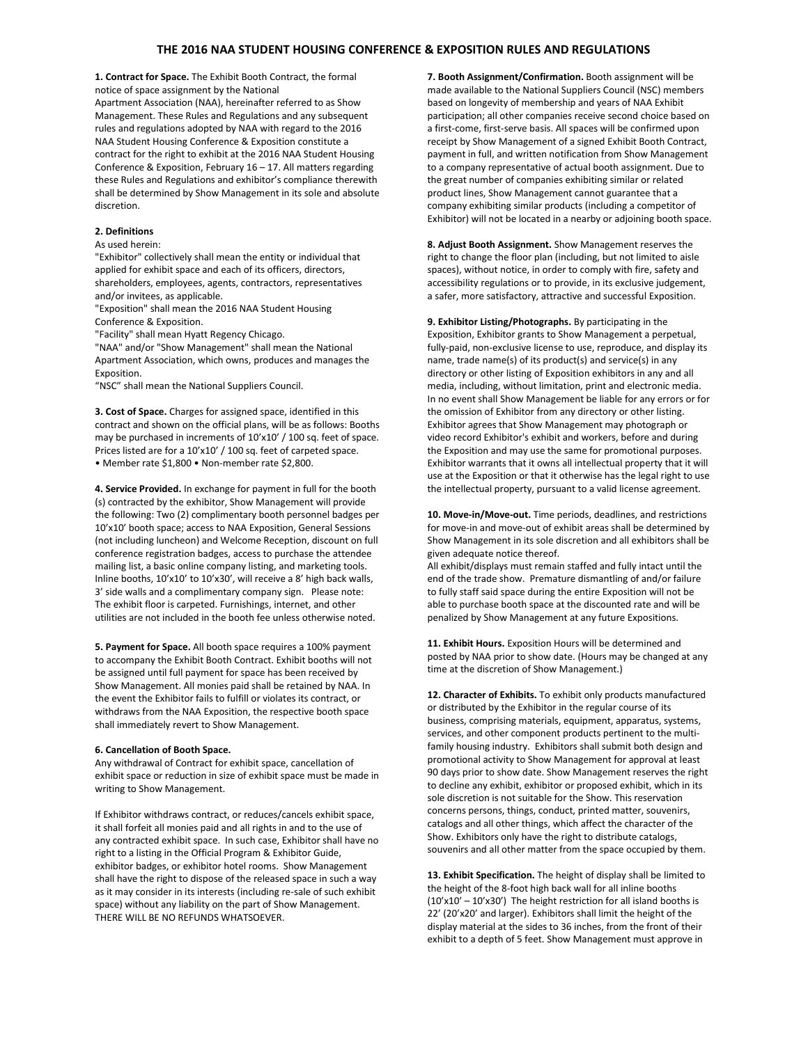#### **THE 2016 NAA STUDENT HOUSING CONFERENCE & EXPOSITION RULES AND REGULATIONS**

**1. Contract for Space.** The Exhibit Booth Contract, the formal notice of space assignment by the National Apartment Association (NAA), hereinafter referred to as Show Management. These Rules and Regulations and any subsequent rules and regulations adopted by NAA with regard to the 2016 NAA Student Housing Conference & Exposition constitute a contract for the right to exhibit at the 2016 NAA Student Housing Conference & Exposition, February 16 – 17. All matters regarding these Rules and Regulations and exhibitor's compliance therewith shall be determined by Show Management in its sole and absolute discretion.

#### **2. Definitions**

As used herein:

"Exhibitor" collectively shall mean the entity or individual that applied for exhibit space and each of its officers, directors, shareholders, employees, agents, contractors, representatives and/or invitees, as applicable.

"Exposition" shall mean the 2016 NAA Student Housing Conference & Exposition.

"Facility" shall mean Hyatt Regency Chicago.

"NAA" and/or "Show Management" shall mean the National Apartment Association, which owns, produces and manages the Exposition.

"NSC" shall mean the National Suppliers Council.

**3. Cost of Space.** Charges for assigned space, identified in this contract and shown on the official plans, will be as follows: Booths may be purchased in increments of 10'x10' / 100 sq. feet of space. Prices listed are for a 10'x10' / 100 sq. feet of carpeted space. • Member rate \$1,800 • Non-member rate \$2,800.

**4. Service Provided.** In exchange for payment in full for the booth (s) contracted by the exhibitor, Show Management will provide the following: Two (2) complimentary booth personnel badges per 10'x10' booth space; access to NAA Exposition, General Sessions (not including luncheon) and Welcome Reception, discount on full conference registration badges, access to purchase the attendee mailing list, a basic online company listing, and marketing tools. Inline booths, 10'x10' to 10'x30', will receive a 8' high back walls, 3' side walls and a complimentary company sign. Please note: The exhibit floor is carpeted. Furnishings, internet, and other utilities are not included in the booth fee unless otherwise noted.

**5. Payment for Space.** All booth space requires a 100% payment to accompany the Exhibit Booth Contract. Exhibit booths will not be assigned until full payment for space has been received by Show Management. All monies paid shall be retained by NAA. In the event the Exhibitor fails to fulfill or violates its contract, or withdraws from the NAA Exposition, the respective booth space shall immediately revert to Show Management.

#### **6. Cancellation of Booth Space.**

Any withdrawal of Contract for exhibit space, cancellation of exhibit space or reduction in size of exhibit space must be made in writing to Show Management.

If Exhibitor withdraws contract, or reduces/cancels exhibit space, it shall forfeit all monies paid and all rights in and to the use of any contracted exhibit space. In such case, Exhibitor shall have no right to a listing in the Official Program & Exhibitor Guide, exhibitor badges, or exhibitor hotel rooms. Show Management shall have the right to dispose of the released space in such a way as it may consider in its interests (including re-sale of such exhibit space) without any liability on the part of Show Management. THERE WILL BE NO REFUNDS WHATSOEVER.

**7. Booth Assignment/Confirmation.** Booth assignment will be made available to the National Suppliers Council (NSC) members based on longevity of membership and years of NAA Exhibit participation; all other companies receive second choice based on a first-come, first-serve basis. All spaces will be confirmed upon receipt by Show Management of a signed Exhibit Booth Contract, payment in full, and written notification from Show Management to a company representative of actual booth assignment. Due to the great number of companies exhibiting similar or related product lines, Show Management cannot guarantee that a company exhibiting similar products (including a competitor of Exhibitor) will not be located in a nearby or adjoining booth space.

**8. Adjust Booth Assignment.** Show Management reserves the right to change the floor plan (including, but not limited to aisle spaces), without notice, in order to comply with fire, safety and accessibility regulations or to provide, in its exclusive judgement, a safer, more satisfactory, attractive and successful Exposition.

**9. Exhibitor Listing/Photographs.** By participating in the Exposition, Exhibitor grants to Show Management a perpetual, fully-paid, non-exclusive license to use, reproduce, and display its name, trade name(s) of its product(s) and service(s) in any directory or other listing of Exposition exhibitors in any and all media, including, without limitation, print and electronic media. In no event shall Show Management be liable for any errors or for the omission of Exhibitor from any directory or other listing. Exhibitor agrees that Show Management may photograph or video record Exhibitor's exhibit and workers, before and during the Exposition and may use the same for promotional purposes. Exhibitor warrants that it owns all intellectual property that it will use at the Exposition or that it otherwise has the legal right to use the intellectual property, pursuant to a valid license agreement.

**10. Move-in/Move-out.** Time periods, deadlines, and restrictions for move-in and move-out of exhibit areas shall be determined by Show Management in its sole discretion and all exhibitors shall be given adequate notice thereof.

All exhibit/displays must remain staffed and fully intact until the end of the trade show. Premature dismantling of and/or failure to fully staff said space during the entire Exposition will not be able to purchase booth space at the discounted rate and will be penalized by Show Management at any future Expositions.

**11. Exhibit Hours.** Exposition Hours will be determined and posted by NAA prior to show date. (Hours may be changed at any time at the discretion of Show Management.)

**12. Character of Exhibits.** To exhibit only products manufactured or distributed by the Exhibitor in the regular course of its business, comprising materials, equipment, apparatus, systems, services, and other component products pertinent to the multifamily housing industry. Exhibitors shall submit both design and promotional activity to Show Management for approval at least 90 days prior to show date. Show Management reserves the right to decline any exhibit, exhibitor or proposed exhibit, which in its sole discretion is not suitable for the Show. This reservation concerns persons, things, conduct, printed matter, souvenirs, catalogs and all other things, which affect the character of the Show. Exhibitors only have the right to distribute catalogs, souvenirs and all other matter from the space occupied by them.

**13. Exhibit Specification.** The height of display shall be limited to the height of the 8-foot high back wall for all inline booths  $(10'x10' - 10'x30')$  The height restriction for all island booths is 22' (20'x20' and larger). Exhibitors shall limit the height of the display material at the sides to 36 inches, from the front of their exhibit to a depth of 5 feet. Show Management must approve in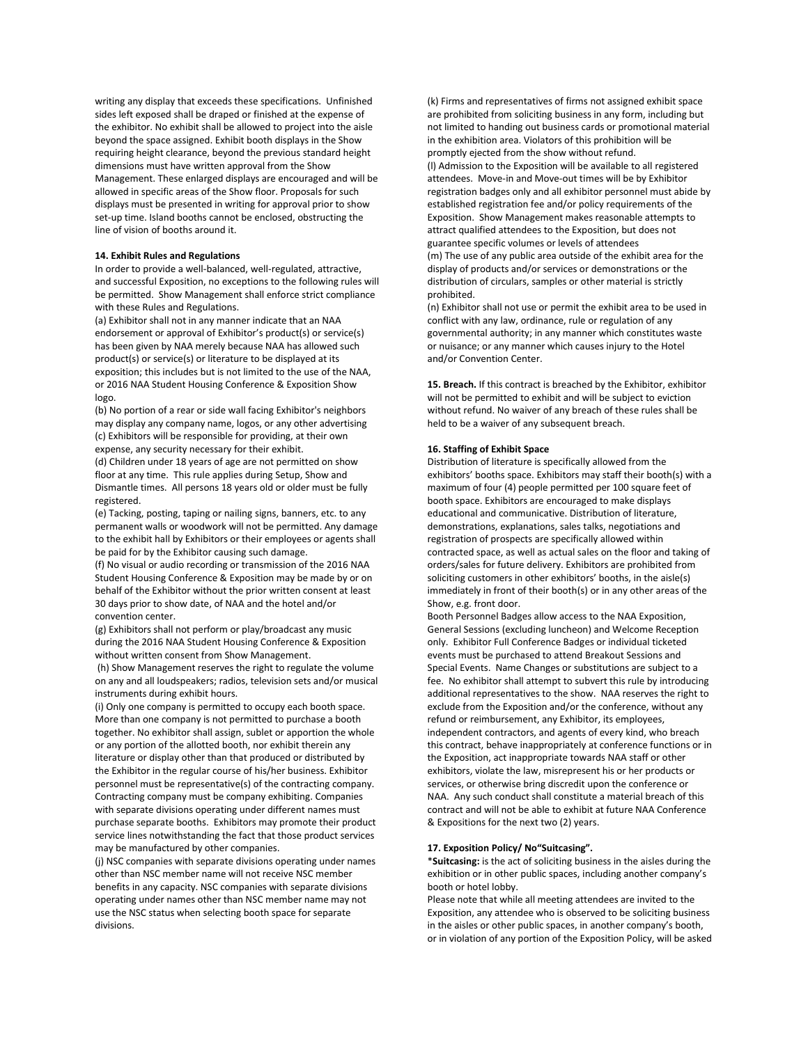writing any display that exceeds these specifications. Unfinished sides left exposed shall be draped or finished at the expense of the exhibitor. No exhibit shall be allowed to project into the aisle beyond the space assigned. Exhibit booth displays in the Show requiring height clearance, beyond the previous standard height dimensions must have written approval from the Show Management. These enlarged displays are encouraged and will be allowed in specific areas of the Show floor. Proposals for such displays must be presented in writing for approval prior to show set-up time. Island booths cannot be enclosed, obstructing the line of vision of booths around it.

#### **14. Exhibit Rules and Regulations**

In order to provide a well-balanced, well-regulated, attractive, and successful Exposition, no exceptions to the following rules will be permitted. Show Management shall enforce strict compliance with these Rules and Regulations.

(a) Exhibitor shall not in any manner indicate that an NAA endorsement or approval of Exhibitor's product(s) or service(s) has been given by NAA merely because NAA has allowed such product(s) or service(s) or literature to be displayed at its exposition; this includes but is not limited to the use of the NAA, or 2016 NAA Student Housing Conference & Exposition Show logo.

(b) No portion of a rear or side wall facing Exhibitor's neighbors may display any company name, logos, or any other advertising (c) Exhibitors will be responsible for providing, at their own expense, any security necessary for their exhibit.

(d) Children under 18 years of age are not permitted on show floor at any time. This rule applies during Setup, Show and Dismantle times. All persons 18 years old or older must be fully registered.

(e) Tacking, posting, taping or nailing signs, banners, etc. to any permanent walls or woodwork will not be permitted. Any damage to the exhibit hall by Exhibitors or their employees or agents shall be paid for by the Exhibitor causing such damage.

(f) No visual or audio recording or transmission of the 2016 NAA Student Housing Conference & Exposition may be made by or on behalf of the Exhibitor without the prior written consent at least 30 days prior to show date, of NAA and the hotel and/or convention center.

(g) Exhibitors shall not perform or play/broadcast any music during the 2016 NAA Student Housing Conference & Exposition without written consent from Show Management.

(h) Show Management reserves the right to regulate the volume on any and all loudspeakers; radios, television sets and/or musical instruments during exhibit hours.

(i) Only one company is permitted to occupy each booth space. More than one company is not permitted to purchase a booth together. No exhibitor shall assign, sublet or apportion the whole or any portion of the allotted booth, nor exhibit therein any literature or display other than that produced or distributed by the Exhibitor in the regular course of his/her business. Exhibitor personnel must be representative(s) of the contracting company. Contracting company must be company exhibiting. Companies with separate divisions operating under different names must purchase separate booths. Exhibitors may promote their product service lines notwithstanding the fact that those product services may be manufactured by other companies.

(j) NSC companies with separate divisions operating under names other than NSC member name will not receive NSC member benefits in any capacity. NSC companies with separate divisions operating under names other than NSC member name may not use the NSC status when selecting booth space for separate divisions.

(k) Firms and representatives of firms not assigned exhibit space are prohibited from soliciting business in any form, including but not limited to handing out business cards or promotional material in the exhibition area. Violators of this prohibition will be promptly ejected from the show without refund. (l) Admission to the Exposition will be available to all registered attendees. Move-in and Move-out times will be by Exhibitor registration badges only and all exhibitor personnel must abide by established registration fee and/or policy requirements of the Exposition. Show Management makes reasonable attempts to attract qualified attendees to the Exposition, but does not guarantee specific volumes or levels of attendees (m) The use of any public area outside of the exhibit area for the display of products and/or services or demonstrations or the distribution of circulars, samples or other material is strictly prohibited.

(n) Exhibitor shall not use or permit the exhibit area to be used in conflict with any law, ordinance, rule or regulation of any governmental authority; in any manner which constitutes waste or nuisance; or any manner which causes injury to the Hotel and/or Convention Center.

**15. Breach.** If this contract is breached by the Exhibitor, exhibitor will not be permitted to exhibit and will be subject to eviction without refund. No waiver of any breach of these rules shall be held to be a waiver of any subsequent breach.

#### **16. Staffing of Exhibit Space**

Distribution of literature is specifically allowed from the exhibitors' booths space. Exhibitors may staff their booth(s) with a maximum of four (4) people permitted per 100 square feet of booth space. Exhibitors are encouraged to make displays educational and communicative. Distribution of literature, demonstrations, explanations, sales talks, negotiations and registration of prospects are specifically allowed within contracted space, as well as actual sales on the floor and taking of orders/sales for future delivery. Exhibitors are prohibited from soliciting customers in other exhibitors' booths, in the aisle(s) immediately in front of their booth(s) or in any other areas of the Show, e.g. front door.

Booth Personnel Badges allow access to the NAA Exposition, General Sessions (excluding luncheon) and Welcome Reception only. Exhibitor Full Conference Badges or individual ticketed events must be purchased to attend Breakout Sessions and Special Events. Name Changes or substitutions are subject to a fee. No exhibitor shall attempt to subvert this rule by introducing additional representatives to the show. NAA reserves the right to exclude from the Exposition and/or the conference, without any refund or reimbursement, any Exhibitor, its employees, independent contractors, and agents of every kind, who breach this contract, behave inappropriately at conference functions or in the Exposition, act inappropriate towards NAA staff or other exhibitors, violate the law, misrepresent his or her products or services, or otherwise bring discredit upon the conference or NAA. Any such conduct shall constitute a material breach of this contract and will not be able to exhibit at future NAA Conference & Expositions for the next two (2) years.

#### **17. Exposition Policy/ No"Suitcasing".**

\***Suitcasing:** is the act of soliciting business in the aisles during the exhibition or in other public spaces, including another company's booth or hotel lobby.

Please note that while all meeting attendees are invited to the Exposition, any attendee who is observed to be soliciting business in the aisles or other public spaces, in another company's booth, or in violation of any portion of the Exposition Policy, will be asked